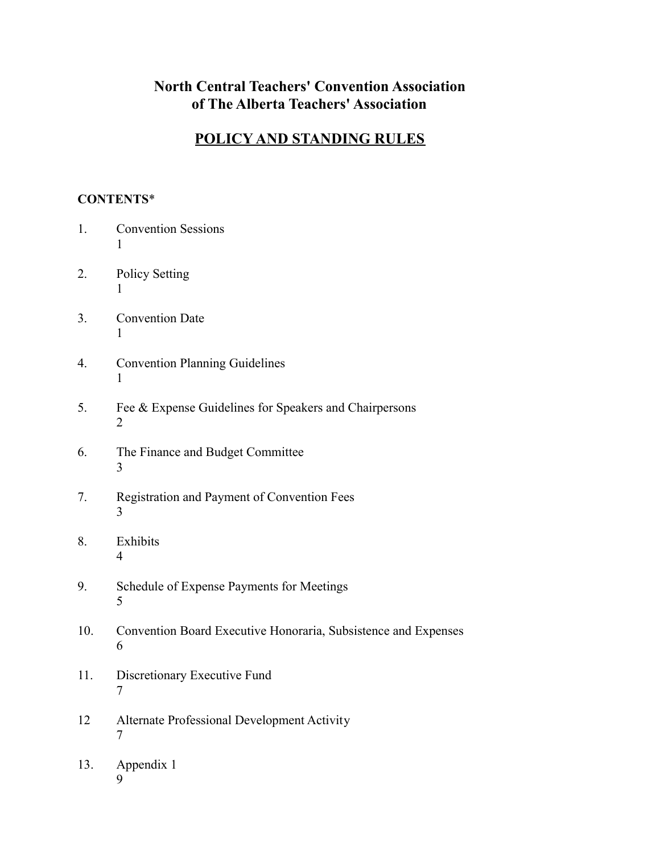# **North Central Teachers' Convention Association of The Alberta Teachers' Association**

# **POLICY AND STANDING RULES**

### **CONTENTS**\*

- 1. [Convention Sessions](#page-2-0) 1
- 2. [Policy Setting](#page-2-1) 1
- 3. [Convention Dat](#page-2-2)e 1
- 4. [Convention Planning Guidelines](#page-2-2) 1
- 5. Fee & [Expense Guidelines for Speakers and Chairpersons](#page-3-0) 2
- 6. [The Finance and Budget Committee](#page-4-0) 3
- 7. [Registration and Payment of Convention Fee](#page-4-0)s 3
- 8. Exhibits 4
- 9. Schedule of Expense Payments for Meetings 5
- 10. [Convention Board Executive Honoraria, Subsistenc](#page-7-0)e and Expenses 6
- 11. [Discretionary Executive Fund](#page-7-0) 7
- 12 [Alternate Professional Development Activity](#page-7-0) 7
- 13. Appendix 1 9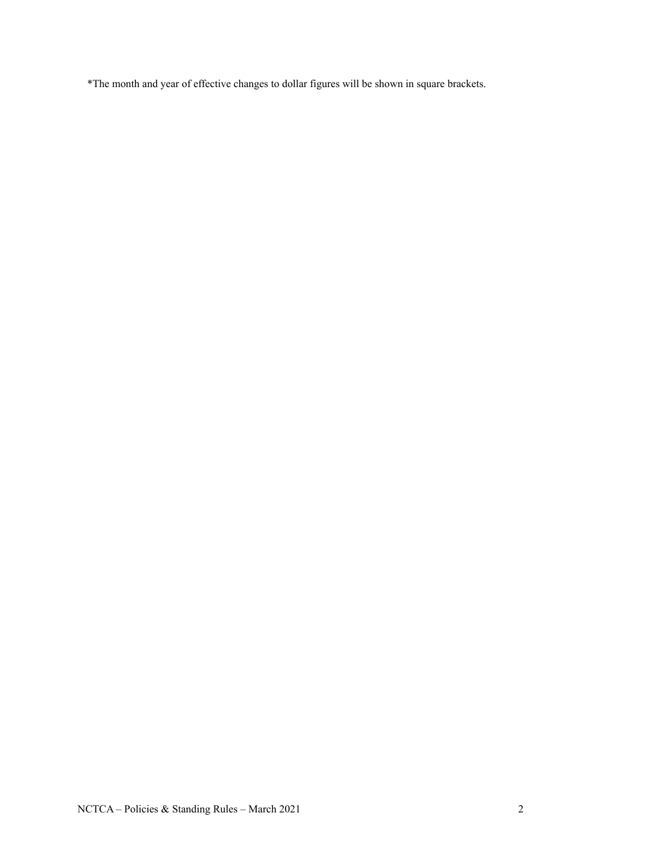\*The month and year of effective changes to dollar figures will be shown in square brackets.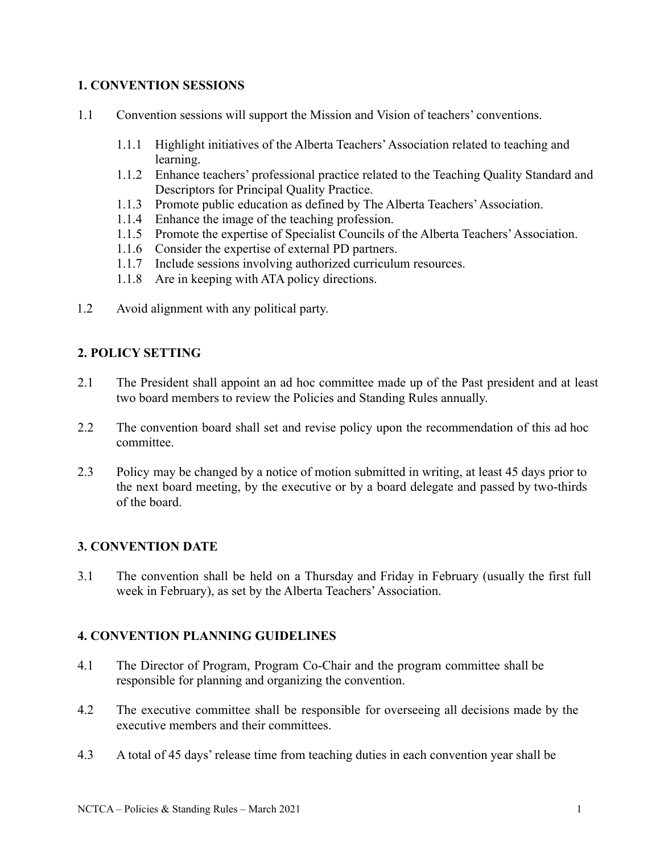### <span id="page-2-0"></span>**1. CONVENTION SESSIONS**

- <span id="page-2-1"></span>1.1 Convention sessions will support the Mission and Vision of teachers' conventions.
	- 1.1.1 Highlight initiatives of the Alberta Teachers'Association related to teaching and learning.
	- 1.1.2 Enhance teachers' professional practice related to the Teaching Quality Standard and Descriptors for Principal Quality Practice.
	- 1.1.3 Promote public education as defined by The Alberta Teachers'Association.
	- 1.1.4 Enhance the image of the teaching profession.
	- 1.1.5 Promote the expertise of Specialist Councils of the Alberta Teachers'Association.
	- 1.1.6 Consider the expertise of external PD partners.
	- 1.1.7 Include sessions involving authorized curriculum resources.
	- 1.1.8 Are in keeping with ATA policy directions.
- 1.2 Avoid alignment with any political party.

### **2. POLICY SETTING**

- 2.1 The President shall appoint an ad hoc committee made up of the Past president and at least two board members to review the Policies and Standing Rules annually.
- 2.2 The convention board shall set and revise policy upon the recommendation of this ad hoc committee.
- 2.3 Policy may be changed by a notice of motion submitted in writing, at least 45 days prior to the next board meeting, by the executive or by a board delegate and passed by two-thirds of the board.

#### <span id="page-2-2"></span>**3. CONVENTION DATE**

3.1 The convention shall be held on a Thursday and Friday in February (usually the first full week in February), as set by the Alberta Teachers'Association.

#### **4. CONVENTION PLANNING GUIDELINES**

- 4.1 The Director of Program, Program Co-Chair and the program committee shall be responsible for planning and organizing the convention.
- 4.2 The executive committee shall be responsible for overseeing all decisions made by the executive members and their committees.
- 4.3 A total of 45 days' release time from teaching duties in each convention year shall be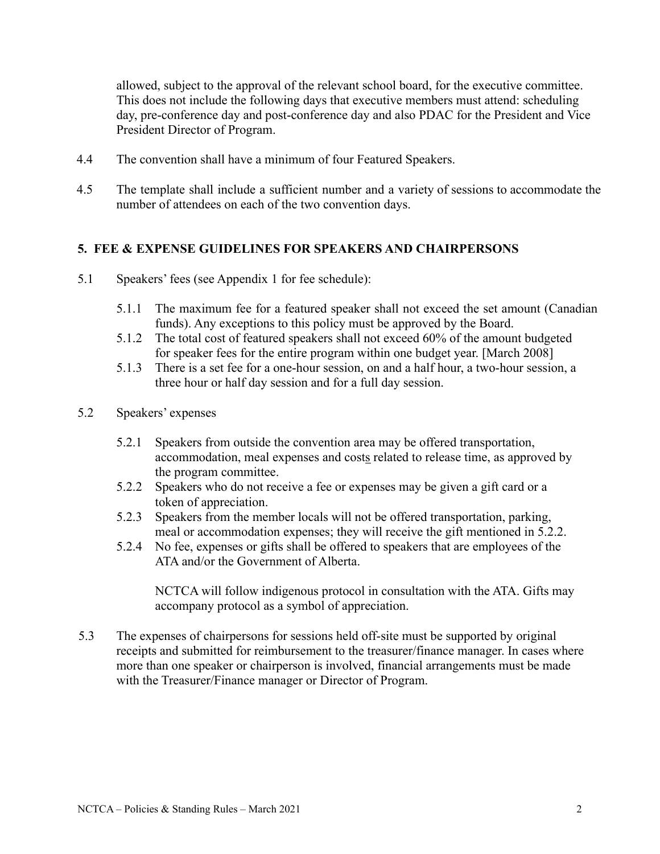allowed, subject to the approval of the relevant school board, for the executive committee. This does not include the following days that executive members must attend: scheduling day, pre-conference day and post-conference day and also PDAC for the President and Vice President Director of Program.

- 4.4 The convention shall have a minimum of four Featured Speakers.
- 4.5 The template shall include a sufficient number and a variety of sessions to accommodate the number of attendees on each of the two convention days.

#### <span id="page-3-0"></span>**5. FEE & EXPENSE GUIDELINES FOR SPEAKERS AND CHAIRPERSONS**

- 5.1 Speakers' fees (see Appendix 1 for fee schedule):
	- 5.1.1 The maximum fee for a featured speaker shall not exceed the set amount (Canadian funds). Any exceptions to this policy must be approved by the Board.
	- 5.1.2 The total cost of featured speakers shall not exceed 60% of the amount budgeted for speaker fees for the entire program within one budget year. [March 2008]
	- 5.1.3 There is a set fee for a one-hour session, on and a half hour, a two-hour session, a three hour or half day session and for a full day session.
- 5.2 Speakers' expenses
	- 5.2.1 Speakers from outside the convention area may be offered transportation, accommodation, meal expenses and costs related to release time, as approved by the program committee.
	- 5.2.2 Speakers who do not receive a fee or expenses may be given a gift card or a token of appreciation.
	- 5.2.3 Speakers from the member locals will not be offered transportation, parking, meal or accommodation expenses; they will receive the gift mentioned in 5.2.2.
	- 5.2.4 No fee, expenses or gifts shall be offered to speakers that are employees of the ATA and/or the Government of Alberta.

NCTCA will follow indigenous protocol in consultation with the ATA. Gifts may accompany protocol as a symbol of appreciation.

5.3 The expenses of chairpersons for sessions held off-site must be supported by original receipts and submitted for reimbursement to the treasurer/finance manager. In cases where more than one speaker or chairperson is involved, financial arrangements must be made with the Treasurer/Finance manager or Director of Program.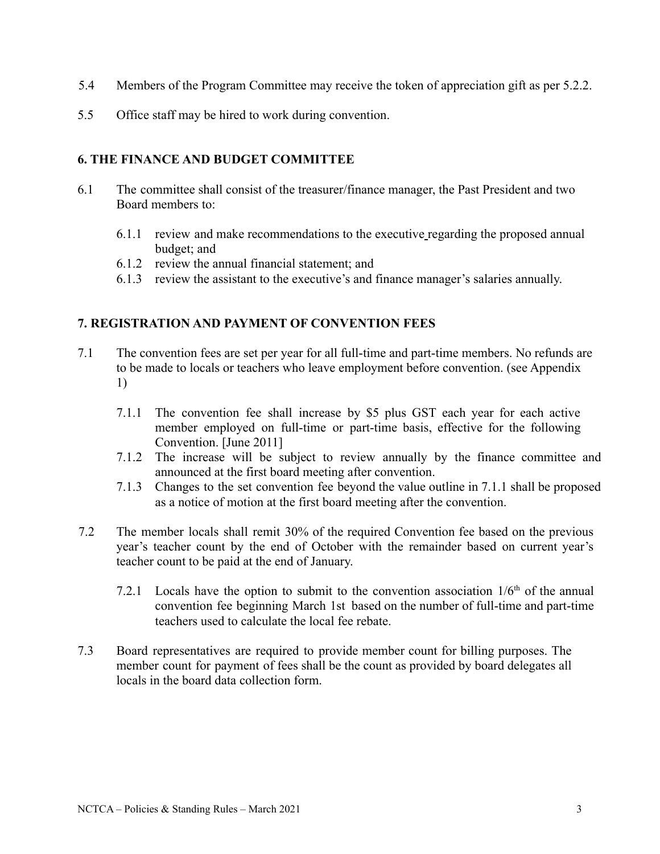- <span id="page-4-0"></span>5.4 Members of the Program Committee may receive the token of appreciation gift as per 5.2.2.
- 5.5 Office staff may be hired to work during convention.

### **6. THE FINANCE AND BUDGET COMMITTEE**

- 6.1 The committee shall consist of the treasurer/finance manager, the Past President and two Board members to:
	- 6.1.1 review and make recommendations to the executive regarding the proposed annual budget; and
	- 6.1.2 review the annual financial statement; and
	- 6.1.3 review the assistant to the executive's and finance manager's salaries annually.

#### **7. REGISTRATION AND PAYMENT OF CONVENTION FEES**

- 7.1 The convention fees are set per year for all full-time and part-time members. No refunds are to be made to locals or teachers who leave employment before convention. (see Appendix 1)
	- 7.1.1 The convention fee shall increase by \$5 plus GST each year for each active member employed on full-time or part-time basis, effective for the following Convention. [June 2011]
	- 7.1.2 The increase will be subject to review annually by the finance committee and announced at the first board meeting after convention.
	- 7.1.3 Changes to the set convention fee beyond the value outline in 7.1.1 shall be proposed as a notice of motion at the first board meeting after the convention.
- 7.2 The member locals shall remit 30% of the required Convention fee based on the previous year's teacher count by the end of October with the remainder based on current year's teacher count to be paid at the end of January.
	- 7.2.1 Locals have the option to submit to the convention association  $1/6<sup>th</sup>$  of the annual convention fee beginning March 1st based on the number of full-time and part-time teachers used to calculate the local fee rebate.
- 7.3 Board representatives are required to provide member count for billing purposes. The member count for payment of fees shall be the count as provided by board delegates all locals in the board data collection form.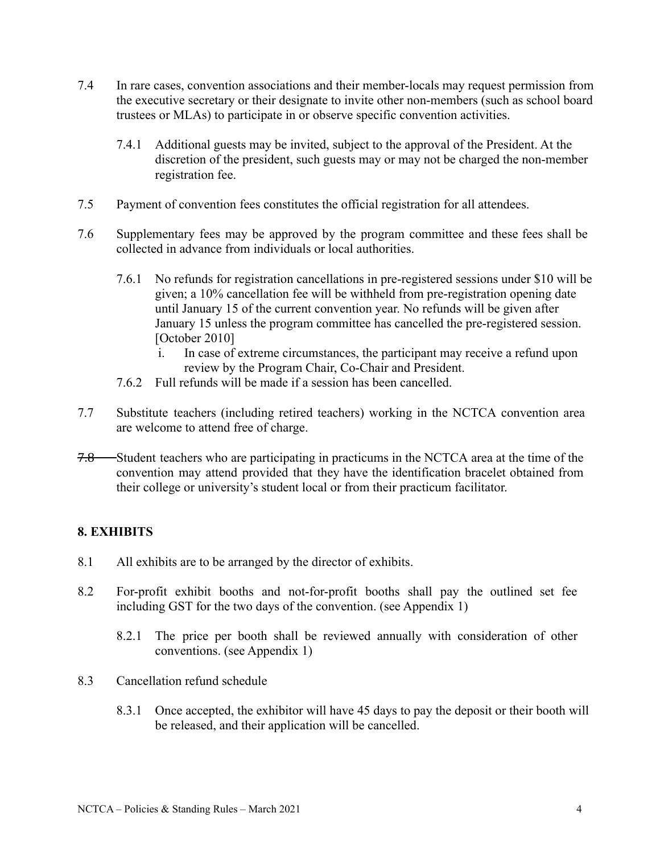- 7.4 In rare cases, convention associations and their member-locals may request permission from the executive secretary or their designate to invite other non-members (such as school board trustees or MLAs) to participate in or observe specific convention activities.
	- 7.4.1 Additional guests may be invited, subject to the approval of the President. At the discretion of the president, such guests may or may not be charged the non-member registration fee.
- 7.5 Payment of convention fees constitutes the official registration for all attendees.
- 7.6 Supplementary fees may be approved by the program committee and these fees shall be collected in advance from individuals or local authorities.
	- 7.6.1 No refunds for registration cancellations in pre-registered sessions under \$10 will be given; a 10% cancellation fee will be withheld from pre-registration opening date until January 15 of the current convention year. No refunds will be given after January 15 unless the program committee has cancelled the pre-registered session. [October 2010]
		- i. In case of extreme circumstances, the participant may receive a refund upon review by the Program Chair, Co-Chair and President.
	- 7.6.2 Full refunds will be made if a session has been cancelled.
- 7.7 Substitute teachers (including retired teachers) working in the NCTCA convention area are welcome to attend free of charge.
- 7.8 Student teachers who are participating in practicums in the NCTCA area at the time of the convention may attend provided that they have the identification bracelet obtained from their college or university's student local or from their practicum facilitator.

#### **8. EXHIBITS**

- 8.1 All exhibits are to be arranged by the director of exhibits.
- 8.2 For-profit exhibit booths and not-for-profit booths shall pay the outlined set fee including GST for the two days of the convention. (see Appendix 1)
	- 8.2.1 The price per booth shall be reviewed annually with consideration of other conventions. (see Appendix 1)
- 8.3 Cancellation refund schedule
	- 8.3.1 Once accepted, the exhibitor will have 45 days to pay the deposit or their booth will be released, and their application will be cancelled.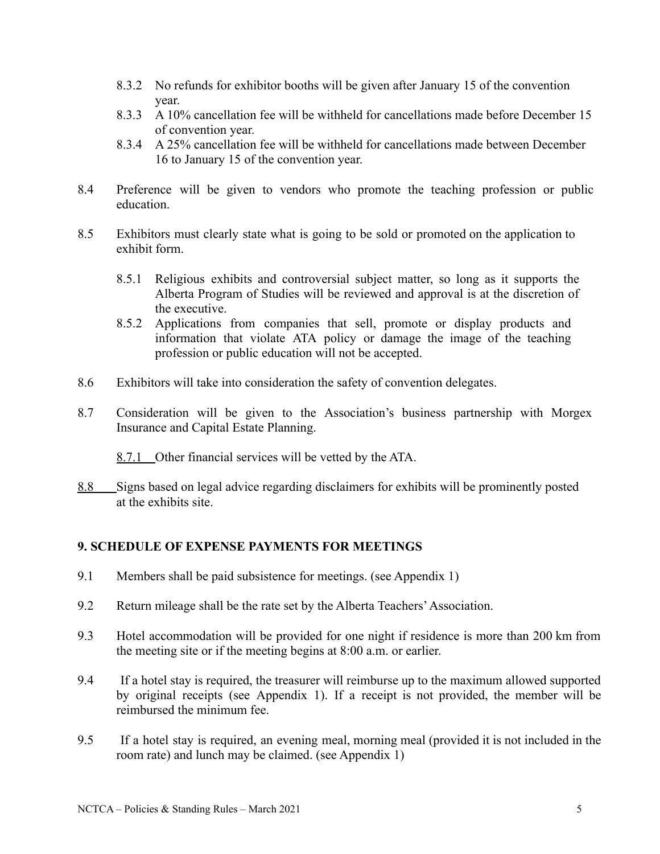- 8.3.2 No refunds for exhibitor booths will be given after January 15 of the convention year.
- 8.3.3 A 10% cancellation fee will be withheld for cancellations made before December 15 of convention year.
- 8.3.4 A 25% cancellation fee will be withheld for cancellations made between December 16 to January 15 of the convention year.
- 8.4 Preference will be given to vendors who promote the teaching profession or public education.
- 8.5 Exhibitors must clearly state what is going to be sold or promoted on the application to exhibit form.
	- 8.5.1 Religious exhibits and controversial subject matter, so long as it supports the Alberta Program of Studies will be reviewed and approval is at the discretion of the executive.
	- 8.5.2 Applications from companies that sell, promote or display products and information that violate ATA policy or damage the image of the teaching profession or public education will not be accepted.
- 8.6 Exhibitors will take into consideration the safety of convention delegates.
- 8.7 Consideration will be given to the Association's business partnership with Morgex Insurance and Capital Estate Planning.
	- 8.7.1 Other financial services will be vetted by the ATA.
- 8.8 Signs based on legal advice regarding disclaimers for exhibits will be prominently posted at the exhibits site.

#### **9. SCHEDULE OF EXPENSE PAYMENTS FOR MEETINGS**

- 9.1 Members shall be paid subsistence for meetings. (see Appendix 1)
- 9.2 Return mileage shall be the rate set by the Alberta Teachers'Association.
- 9.3 Hotel accommodation will be provided for one night if residence is more than 200 km from the meeting site or if the meeting begins at 8:00 a.m. or earlier.
- 9.4 If a hotel stay is required, the treasurer will reimburse up to the maximum allowed supported by original receipts (see Appendix 1). If a receipt is not provided, the member will be reimbursed the minimum fee.
- 9.5 If a hotel stay is required, an evening meal, morning meal (provided it is not included in the room rate) and lunch may be claimed. (see Appendix 1)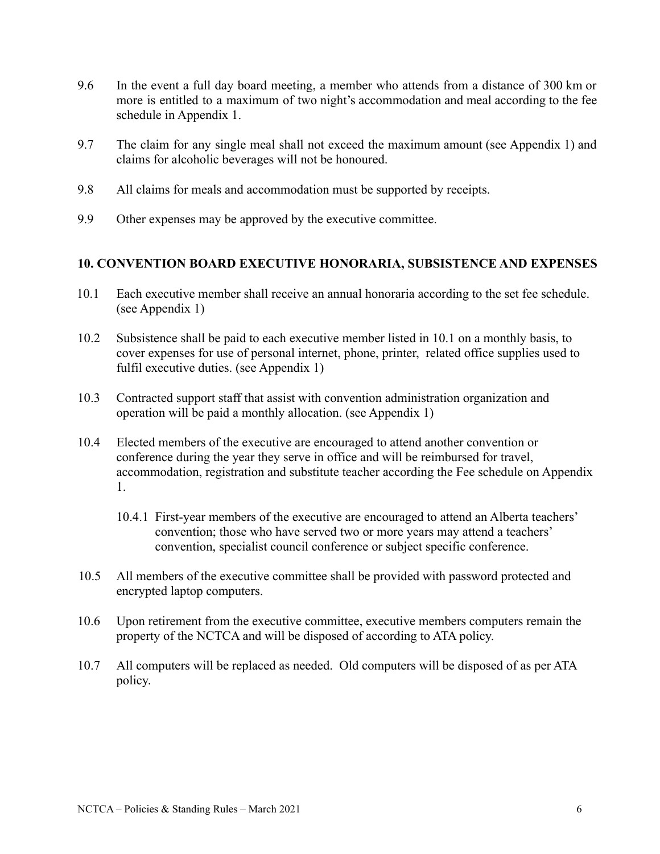- 9.6 In the event a full day board meeting, a member who attends from a distance of 300 km or more is entitled to a maximum of two night's accommodation and meal according to the fee schedule in Appendix 1.
- 9.7 The claim for any single meal shall not exceed the maximum amount (see Appendix 1) and claims for alcoholic beverages will not be honoured.
- 9.8 All claims for meals and accommodation must be supported by receipts.
- 9.9 Other expenses may be approved by the executive committee.

#### <span id="page-7-0"></span>**10. CONVENTION BOARD EXECUTIVE HONORARIA, SUBSISTENCE AND EXPENSES**

- 10.1 Each executive member shall receive an annual honoraria according to the set fee schedule. (see Appendix 1)
- 10.2 Subsistence shall be paid to each executive member listed in 10.1 on a monthly basis, to cover expenses for use of personal internet, phone, printer, related office supplies used to fulfil executive duties. (see Appendix 1)
- 10.3 Contracted support staff that assist with convention administration organization and operation will be paid a monthly allocation. (see Appendix 1)
- 10.4 Elected members of the executive are encouraged to attend another convention or conference during the year they serve in office and will be reimbursed for travel, accommodation, registration and substitute teacher according the Fee schedule on Appendix 1.
	- 10.4.1 First-year members of the executive are encouraged to attend an Alberta teachers' convention; those who have served two or more years may attend a teachers' convention, specialist council conference or subject specific conference.
- 10.5 All members of the executive committee shall be provided with password protected and encrypted laptop computers.
- 10.6 Upon retirement from the executive committee, executive members computers remain the property of the NCTCA and will be disposed of according to ATA policy.
- 10.7 All computers will be replaced as needed. Old computers will be disposed of as per ATA policy.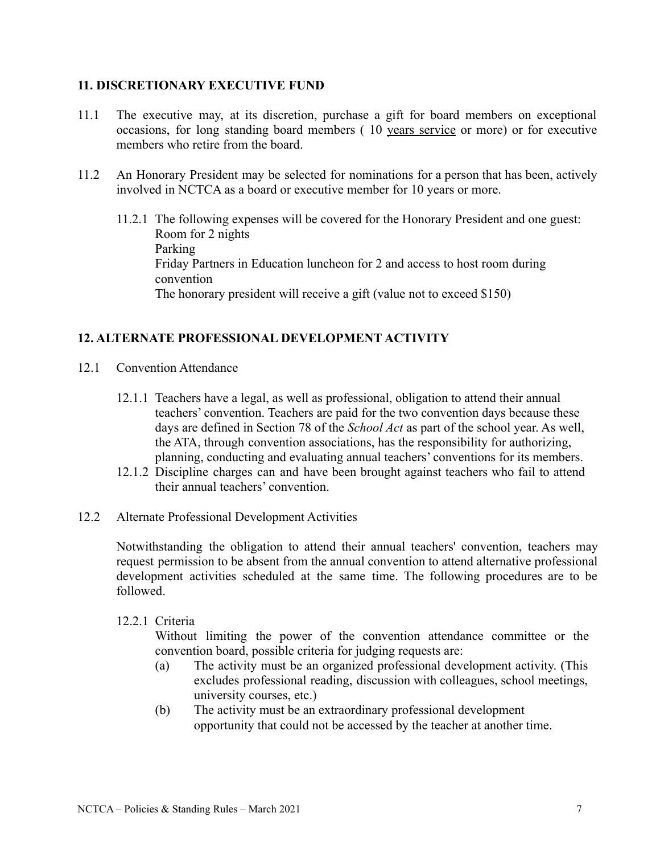#### **11. DISCRETIONARY EXECUTIVE FUND**

- 11.1 The executive may, at its discretion, purchase a gift for board members on exceptional occasions, for long standing board members ( 10 years service or more) or for executive members who retire from the board.
- 11.2 An Honorary President may be selected for nominations for a person that has been, actively involved in NCTCA as a board or executive member for 10 years or more.
	- 11.2.1 The following expenses will be covered for the Honorary President and one guest: Room for 2 nights Parking Friday Partners in Education luncheon for 2 and access to host room during convention The honorary president will receive a gift (value not to exceed \$150)

#### **12. ALTERNATE PROFESSIONAL DEVELOPMENT ACTIVITY**

- 12.1 Convention Attendance
	- 12.1.1 Teachers have a legal, as well as professional, obligation to attend their annual teachers' convention. Teachers are paid for the two convention days because these days are defined in Section 78 of the *School Act* as part of the school year. As well, the ATA, through convention associations, has the responsibility for authorizing, planning, conducting and evaluating annual teachers' conventions for its members.
	- 12.1.2 Discipline charges can and have been brought against teachers who fail to attend their annual teachers' convention.
- 12.2 Alternate Professional Development Activities

Notwithstanding the obligation to attend their annual teachers' convention, teachers may request permission to be absent from the annual convention to attend alternative professional development activities scheduled at the same time. The following procedures are to be followed.

#### 12.2.1 Criteria

Without limiting the power of the convention attendance committee or the convention board, possible criteria for judging requests are:

- (a) The activity must be an organized professional development activity. (This excludes professional reading, discussion with colleagues, school meetings, university courses, etc.)
- (b) The activity must be an extraordinary professional development opportunity that could not be accessed by the teacher at another time.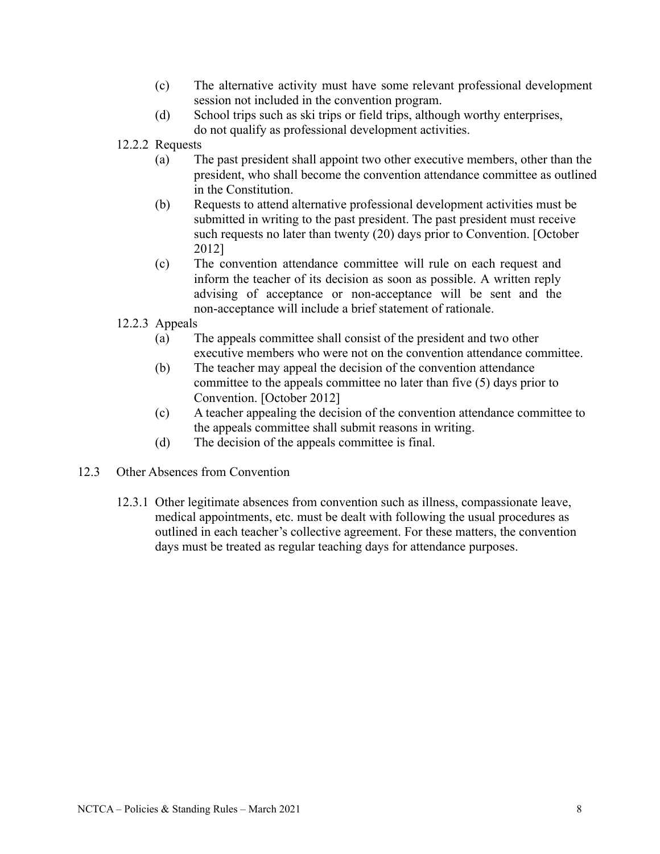- (c) The alternative activity must have some relevant professional development session not included in the convention program.
- (d) School trips such as ski trips or field trips, although worthy enterprises, do not qualify as professional development activities.
- 12.2.2 Requests
	- (a) The past president shall appoint two other executive members, other than the president, who shall become the convention attendance committee as outlined in the Constitution.
	- (b) Requests to attend alternative professional development activities must be submitted in writing to the past president. The past president must receive such requests no later than twenty (20) days prior to Convention. [October 2012]
	- (c) The convention attendance committee will rule on each request and inform the teacher of its decision as soon as possible. A written reply advising of acceptance or non-acceptance will be sent and the non-acceptance will include a brief statement of rationale.
- 12.2.3 Appeals
	- (a) The appeals committee shall consist of the president and two other executive members who were not on the convention attendance committee.
	- (b) The teacher may appeal the decision of the convention attendance committee to the appeals committee no later than five (5) days prior to Convention. [October 2012]
	- (c) A teacher appealing the decision of the convention attendance committee to the appeals committee shall submit reasons in writing.
	- (d) The decision of the appeals committee is final.
- 12.3 Other Absences from Convention
	- 12.3.1 Other legitimate absences from convention such as illness, compassionate leave, medical appointments, etc. must be dealt with following the usual procedures as outlined in each teacher's collective agreement. For these matters, the convention days must be treated as regular teaching days for attendance purposes.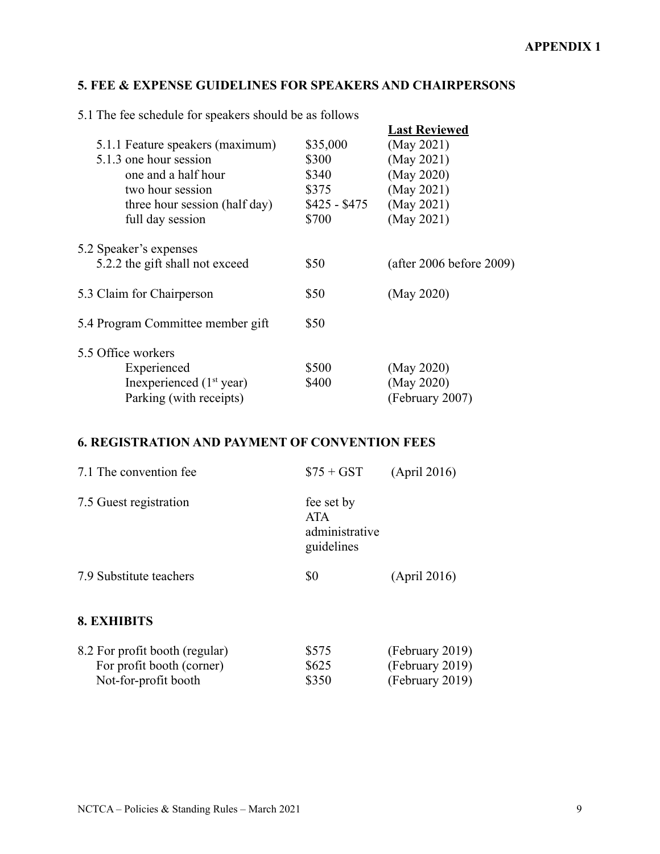# **5. FEE & EXPENSE GUIDELINES FOR SPEAKERS AND CHAIRPERSONS**

5.1 The fee schedule for speakers should be as follows

| $\sigma$ . The red sendance for speakers should be as follows |               |                          |
|---------------------------------------------------------------|---------------|--------------------------|
|                                                               |               | <b>Last Reviewed</b>     |
| 5.1.1 Feature speakers (maximum)                              | \$35,000      | (May 2021)               |
| 5.1.3 one hour session                                        | \$300         | (May 2021)               |
| one and a half hour                                           | \$340         | (May 2020)               |
| two hour session                                              | \$375         | (May 2021)               |
| three hour session (half day)                                 | $$425 - $475$ | (May 2021)               |
| full day session                                              | \$700         | (May 2021)               |
| 5.2 Speaker's expenses                                        |               |                          |
| 5.2.2 the gift shall not exceed                               | \$50          | (after 2006 before 2009) |
| 5.3 Claim for Chairperson                                     | \$50          | (May 2020)               |
| 5.4 Program Committee member gift                             | \$50          |                          |
| 5.5 Office workers                                            |               |                          |
| Experienced                                                   | \$500         | (May 2020)               |
| Inexperienced $(1st$ year)                                    | \$400         | (May 2020)               |
| Parking (with receipts)                                       |               | (February 2007)          |

# **6. REGISTRATION AND PAYMENT OF CONVENTION FEES**

| 7.1 The convention fee                                                              | $$75 + GST$                                              | (April 2016)                                          |
|-------------------------------------------------------------------------------------|----------------------------------------------------------|-------------------------------------------------------|
| 7.5 Guest registration                                                              | fee set by<br><b>ATA</b><br>administrative<br>guidelines |                                                       |
| 7.9 Substitute teachers                                                             | \$0                                                      | (April 2016)                                          |
| <b>8. EXHIBITS</b>                                                                  |                                                          |                                                       |
| 8.2 For profit booth (regular)<br>For profit booth (corner)<br>Not-for-profit booth | \$575<br>\$625<br>\$350                                  | (February 2019)<br>(February 2019)<br>(February 2019) |